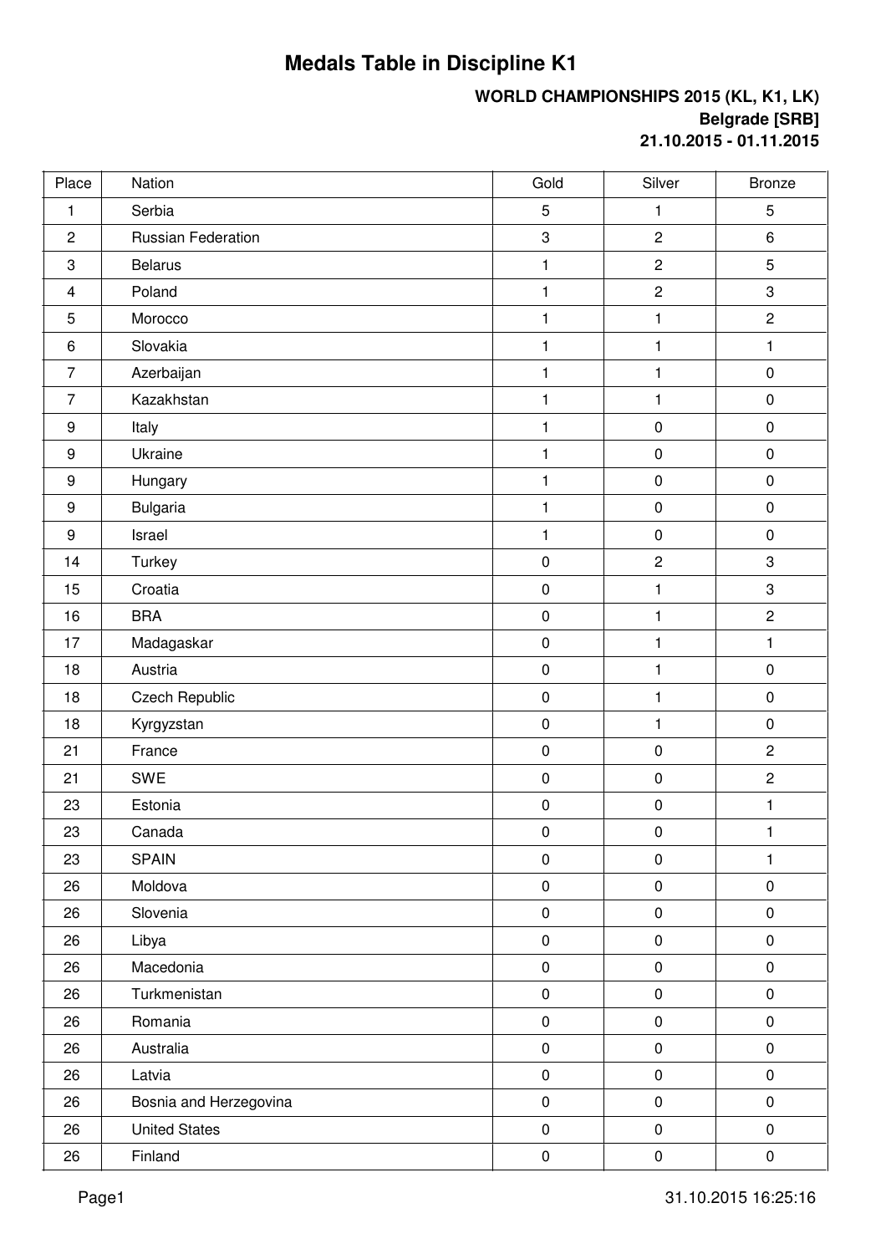## **Medals Table in Discipline K1**

## **WORLD CHAMPIONSHIPS 2015 (KL, K1, LK) Belgrade [SRB] 21.10.2015 - 01.11.2015**

| Place          | Nation                 | Gold         | Silver         | <b>Bronze</b>  |
|----------------|------------------------|--------------|----------------|----------------|
| $\mathbf{1}$   | Serbia                 | 5            | 1              | 5              |
| $\overline{2}$ | Russian Federation     | 3            | $\overline{c}$ | 6              |
| 3              | <b>Belarus</b>         | $\mathbf{1}$ | $\overline{c}$ | $\overline{5}$ |
| $\overline{4}$ | Poland                 | $\mathbf{1}$ | $\mathbf 2$    | 3              |
| 5              | Morocco                | $\mathbf{1}$ | 1              | $\overline{c}$ |
| $\,6$          | Slovakia               | $\mathbf{1}$ | 1              | 1              |
| $\overline{7}$ | Azerbaijan             | $\mathbf{1}$ | $\mathbf{1}$   | $\mathbf 0$    |
| $\overline{7}$ | Kazakhstan             | $\mathbf{1}$ | $\mathbf{1}$   | $\pmb{0}$      |
| $9\,$          | Italy                  | $\mathbf{1}$ | $\pmb{0}$      | $\pmb{0}$      |
| $9\,$          | Ukraine                | $\mathbf{1}$ | $\pmb{0}$      | $\pmb{0}$      |
| $9\,$          | Hungary                | $\mathbf{1}$ | $\pmb{0}$      | $\pmb{0}$      |
| $9\,$          | Bulgaria               | $\mathbf{1}$ | $\pmb{0}$      | $\pmb{0}$      |
| $9\,$          | Israel                 | $\mathbf{1}$ | $\pmb{0}$      | $\pmb{0}$      |
| 14             | Turkey                 | $\pmb{0}$    | $\mathbf 2$    | 3              |
| 15             | Croatia                | $\pmb{0}$    | $\mathbf{1}$   | 3              |
| 16             | <b>BRA</b>             | $\pmb{0}$    | $\mathbf{1}$   | $\overline{2}$ |
| 17             | Madagaskar             | $\pmb{0}$    | $\mathbf{1}$   | 1              |
| 18             | Austria                | $\pmb{0}$    | $\mathbf{1}$   | $\pmb{0}$      |
| 18             | <b>Czech Republic</b>  | $\pmb{0}$    | $\mathbf{1}$   | $\pmb{0}$      |
| 18             | Kyrgyzstan             | $\pmb{0}$    | $\mathbf{1}$   | $\pmb{0}$      |
| 21             | France                 | $\pmb{0}$    | $\pmb{0}$      | $\overline{2}$ |
| 21             | <b>SWE</b>             | $\pmb{0}$    | $\pmb{0}$      | $\overline{2}$ |
| 23             | Estonia                | $\mathbf 0$  | $\pmb{0}$      | 1              |
| 23             | Canada                 | $\pmb{0}$    | $\pmb{0}$      | 1              |
| 23             | <b>SPAIN</b>           | $\pmb{0}$    | $\pmb{0}$      | $\mathbf{1}$   |
| 26             | Moldova                | $\pmb{0}$    | $\pmb{0}$      | $\pmb{0}$      |
| 26             | Slovenia               | $\pmb{0}$    | $\pmb{0}$      | $\pmb{0}$      |
| 26             | Libya                  | $\pmb{0}$    | $\pmb{0}$      | $\pmb{0}$      |
| 26             | Macedonia              | $\pmb{0}$    | $\pmb{0}$      | $\pmb{0}$      |
| 26             | Turkmenistan           | $\pmb{0}$    | $\pmb{0}$      | $\pmb{0}$      |
| 26             | Romania                | $\pmb{0}$    | $\pmb{0}$      | $\pmb{0}$      |
| 26             | Australia              | $\pmb{0}$    | $\pmb{0}$      | $\pmb{0}$      |
| 26             | Latvia                 | $\pmb{0}$    | $\pmb{0}$      | $\pmb{0}$      |
| 26             | Bosnia and Herzegovina | $\pmb{0}$    | $\pmb{0}$      | $\pmb{0}$      |
| 26             | <b>United States</b>   | $\pmb{0}$    | $\pmb{0}$      | $\pmb{0}$      |
| 26             | Finland                | $\pmb{0}$    | $\pmb{0}$      | $\pmb{0}$      |